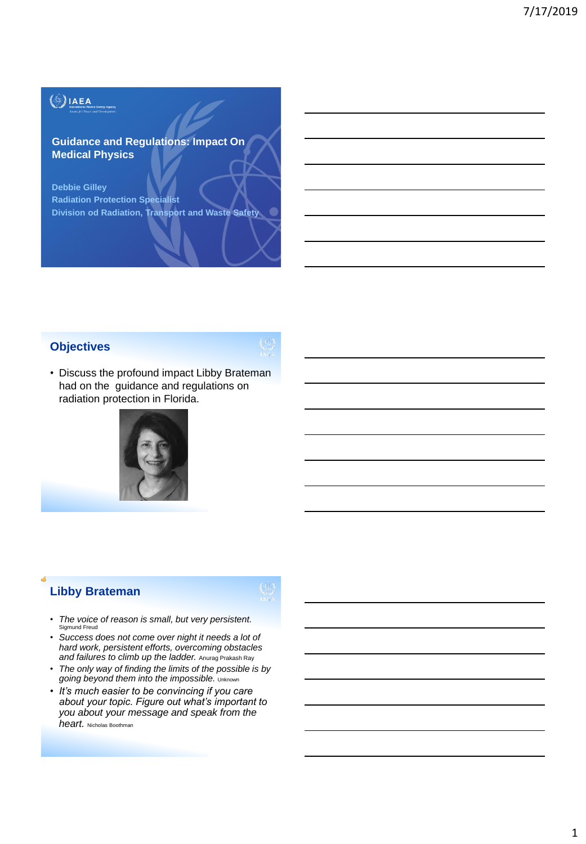# $\binom{4}{2}$ IAEA

### **Guidance and Regulations: Impact On Medical Physics**

**Debbie Gilley Radiation Protection Specialist Division od Radiation, Transport and Waste Safety**

### **Objectives**

• Discuss the profound impact Libby Brateman had on the guidance and regulations on radiation protection in Florida.



# **Libby Brateman**

- *The voice of reason is small, but very persistent.* Sigmund Freud
- *Success does not come over night it needs a lot of hard work, persistent efforts, overcoming obstacles and failures to climb up the ladder.* Anurag Prakash Ray
- *The only way of finding the limits of the possible is by going beyond them into the impossible.* Unknown
- *It's much easier to be convincing if you care about your topic. Figure out what's important to you about your message and speak from the heart.* Nicholas Boothman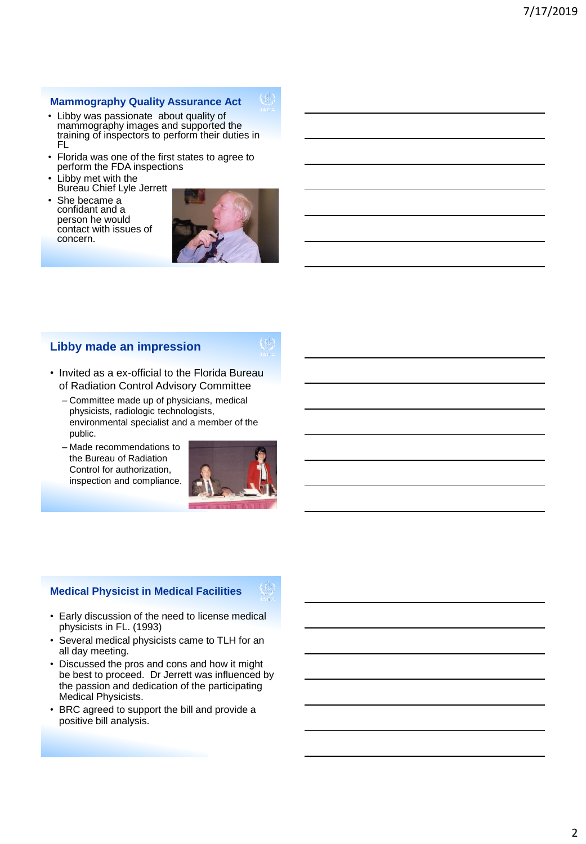#### **Mammography Quality Assurance Act**

- Libby was passionate about quality of mammography images and supported the training of inspectors to perform their duties in FL
- Florida was one of the first states to agree to perform the FDA inspections
- Libby met with the Bureau Chief Lyle Jerrett
- She became a confidant and a person he would contact with issues of concern.



## **Libby made an impression**

- Invited as a ex-official to the Florida Bureau of Radiation Control Advisory Committee
	- Committee made up of physicians, medical physicists, radiologic technologists, environmental specialist and a member of the public.
	- Made recommendations to the Bureau of Radiation Control for authorization, inspection and compliance.



#### **Medical Physicist in Medical Facilities**

- Early discussion of the need to license medical physicists in FL. (1993)
- Several medical physicists came to TLH for an all day meeting.
- Discussed the pros and cons and how it might be best to proceed. Dr Jerrett was influenced by the passion and dedication of the participating Medical Physicists.
- BRC agreed to support the bill and provide a positive bill analysis.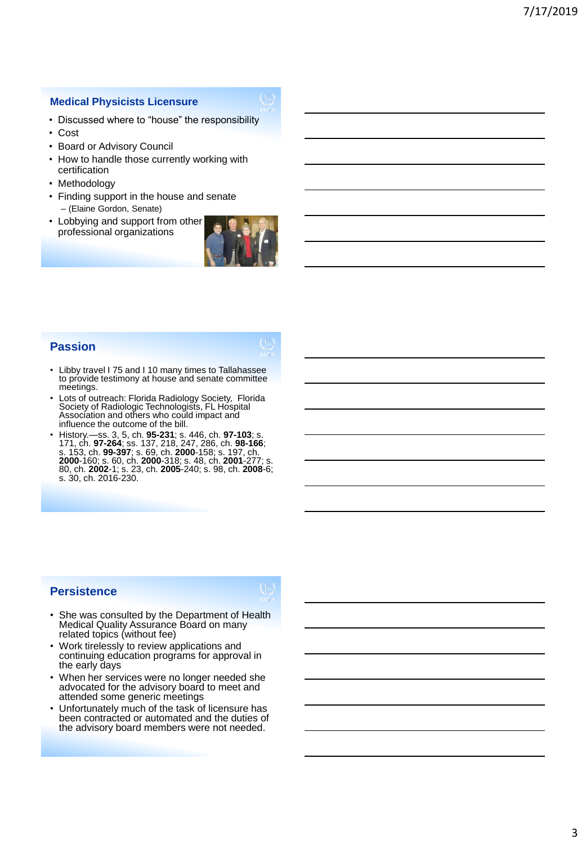#### **Medical Physicists Licensure**

- Discussed where to "house" the responsibility
- Cost
- Board or Advisory Council
- How to handle those currently working with certification
- Methodology
- Finding support in the house and senate – (Elaine Gordon, Senate)
- Lobbying and support from other professional organizations



## **Passion**

- Libby travel I 75 and I 10 many times to Tallahassee to provide testimony at house and senate committee meetings.
- Lots of outreach: Florida Radiology Society, Florida Society of Radiologic Technologists, FL Hospital Association and others who could impact and influence the outcome of the bill.
- History.—ss. 3, 5, ch. **95-231**; s. 446, ch. **97-103**; s. 171, ch. **97-264**; ss. 137, 218, 247, 286, ch. **98-166**; s. 153, ch. **99-397**; s. 69, ch. **2000**-158; s. 197, ch. **2000**-160; s. 60, ch. **2000**-318; s. 48, ch. **2001**-277; s. 80, ch. **2002**-1; s. 23, ch. **2005**-240; s. 98, ch. **2008**-6; s. 30, ch. 2016-230.

# **Persistence**

- She was consulted by the Department of Health Medical Quality Assurance Board on many related topics (without fee)
- Work tirelessly to review applications and continuing education programs for approval in the early days
- When her services were no longer needed she advocated for the advisory board to meet and attended some generic meetings
- Unfortunately much of the task of licensure has been contracted or automated and the duties of the advisory board members were not needed.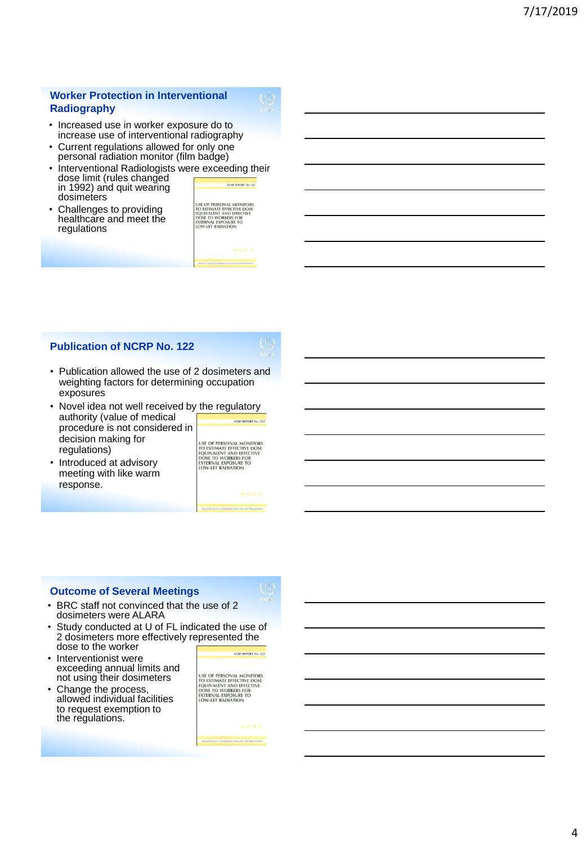#### **Worker Protection in Interventional Radiography**

- Increased use in worker exposure do to increase use of interventional radiography
- Current regulations allowed for only one personal radiation monitor (film badge)
- Interventional Radiologists were exceeding their dose limit (rules changed NCRP REPORT No. 122 in 1992) and quit wearing
- dosimeters Challenges to providing healthcare and meet the regulations

USE OF PERSONAL MONITORS<br>TO ESTIMATE EFFECTIVE DOSE<br>EQUIVALENT AND EFFECTIVE<br>DOSE TO WORKERS FOR<br>EXTERNAL EXPOSURE TO<br>LOW-LET RADIATION

### **Publication of NCRP No. 122**

- Publication allowed the use of 2 dosimeters and weighting factors for determining occupation exposures
- Novel idea not well received by the regulatory authority (value of medical NCRP REPORT No. 122 procedure is not considered in decision making for regulations)
- Introduced at advisory meeting with like warm response.

USE OF PERSONAL MONITORS<br>TO ESTIMATE EFFECTIVE DOSE<br>EQUIVALENT AND EFFECTIVE<br>EQUIVALENT AND EFFECTIVE<br>EXTERNAL EXPOSURE TO<br>LOW-LET RADIATION

### **Outcome of Several Meetings**

- BRC staff not convinced that the use of 2 dosimeters were ALARA
- Study conducted at U of FL indicated the use of 2 dosimeters more effectively represented the dose to the worker
- Interventionist were exceeding annual limits and not using their dosimeters
- Change the process, allowed individual facilities to request exemption to the regulations.

NCRP REPORT No. 122

USE OF PERSONAL MONITORS<br>TO ESTIMATE EFFECTIVE DOSE<br>EQUIVALENT AND EFFECTIVE<br>DOSE TO WORKERS FOR<br>EXTERNAL EXPOSURE TO<br>LOW-LET RADIATION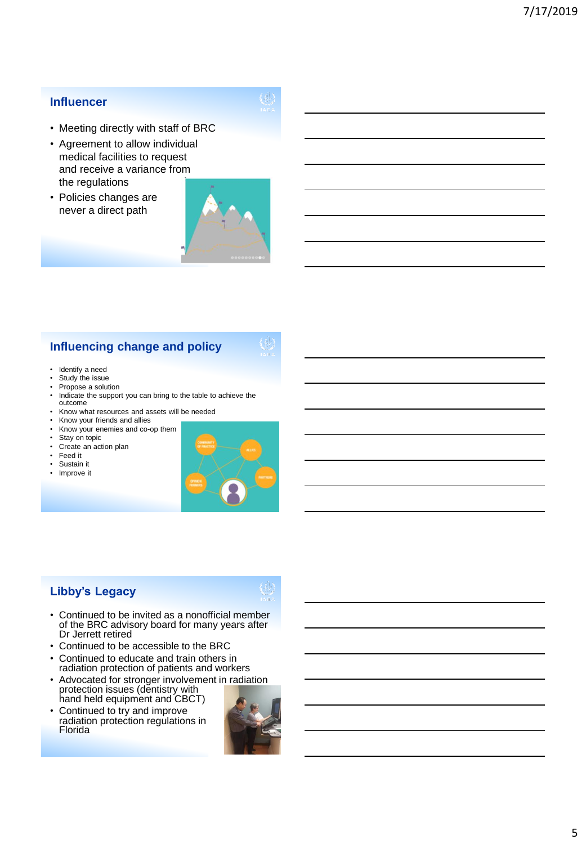### **Influencer**

- Meeting directly with staff of BRC
- Agreement to allow individual medical facilities to request and receive a variance from the regulations
- Policies changes are never a direct path



# **Influencing change and policy**

- Identify a need
- Study the issue
- Propose a solution
- Indicate the support you can bring to the table to achieve the outcome
- Know what resources and assets will be needed
- Know your friends and allies
- Know your enemies and co-op them
- Stay on topic
- Create an action plan
- Feed it
- Sustain it<br>• Improve it
- Improve it



# **Libby's Legacy**

- Continued to be invited as a nonofficial member of the BRC advisory board for many years after Dr Jerrett retired
- Continued to be accessible to the BRC
- Continued to educate and train others in radiation protection of patients and workers
- Advocated for stronger involvement in radiation protection issues (dentistry with hand held equipment and CBCT)
- Continued to try and improve radiation protection regulations in Florida